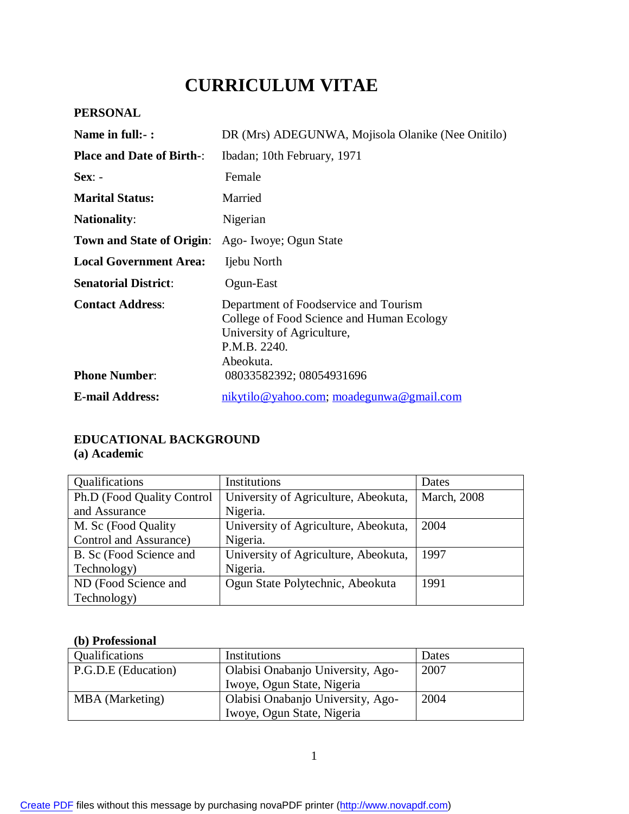# **CURRICULUM VITAE**

#### **PERSONAL**

| Name in full:- :                                | DR (Mrs) ADEGUNWA, Mojisola Olanike (Nee Onitilo)                                                                                                                         |  |  |
|-------------------------------------------------|---------------------------------------------------------------------------------------------------------------------------------------------------------------------------|--|--|
| <b>Place and Date of Birth-:</b>                | Ibadan; 10th February, 1971                                                                                                                                               |  |  |
| $Sex: -$                                        | Female                                                                                                                                                                    |  |  |
| <b>Marital Status:</b>                          | Married                                                                                                                                                                   |  |  |
| <b>Nationality:</b>                             | Nigerian                                                                                                                                                                  |  |  |
| <b>Town and State of Origin:</b>                | Ago-Iwoye; Ogun State                                                                                                                                                     |  |  |
| <b>Local Government Area:</b>                   | Ijebu North                                                                                                                                                               |  |  |
| <b>Senatorial District:</b>                     | Ogun-East                                                                                                                                                                 |  |  |
| <b>Contact Address:</b><br><b>Phone Number:</b> | Department of Foodservice and Tourism<br>College of Food Science and Human Ecology<br>University of Agriculture,<br>P.M.B. 2240.<br>Abeokuta.<br>08033582392; 08054931696 |  |  |
| <b>E-mail Address:</b>                          | nikytilo@yahoo.com; moadegunwa@gmail.com                                                                                                                                  |  |  |

#### **EDUCATIONAL BACKGROUND (a) Academic**

#### Qualifications Institutions Institutions Institutions Institutions Ph.D (Food Quality Control and Assurance University of Agriculture, Abeokuta, Nigeria. March, 2008 M. Sc (Food Quality Control and Assurance) University of Agriculture, Abeokuta, Nigeria. 2004 B. Sc (Food Science and Technology) University of Agriculture, Abeokuta, Nigeria. 1997 ND (Food Science and Technology) Ogun State Polytechnic, Abeokuta 1991

#### **(b) Professional**

| Qualifications      | Institutions                      | Dates |
|---------------------|-----------------------------------|-------|
| P.G.D.E (Education) | Olabisi Onabanjo University, Ago- | 2007  |
|                     | Iwoye, Ogun State, Nigeria        |       |
| MBA (Marketing)     | Olabisi Onabanjo University, Ago- | 2004  |
|                     | Iwoye, Ogun State, Nigeria        |       |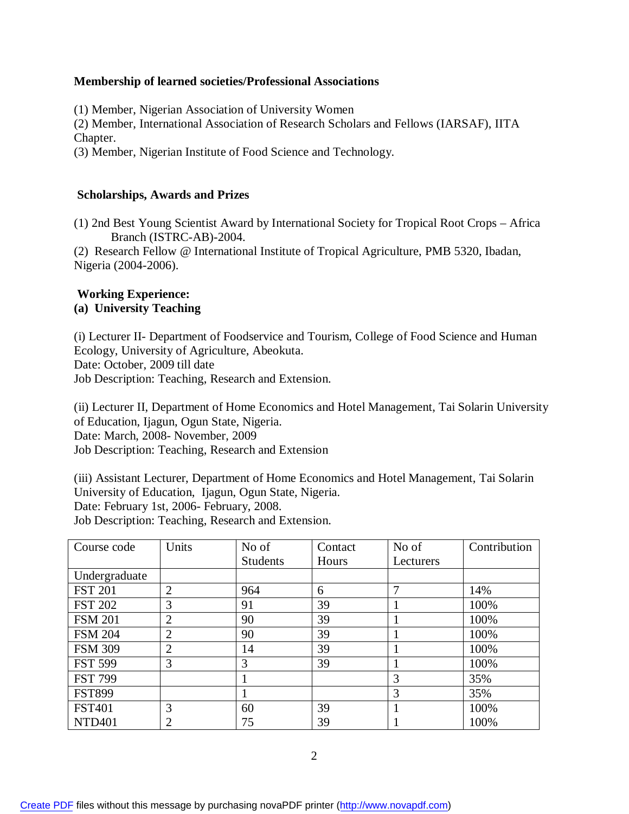#### **Membership of learned societies/Professional Associations**

(1) Member, Nigerian Association of University Women

(2) Member, International Association of Research Scholars and Fellows (IARSAF), IITA Chapter.

(3) Member, Nigerian Institute of Food Science and Technology.

#### **Scholarships, Awards and Prizes**

(1) 2nd Best Young Scientist Award by International Society for Tropical Root Crops – Africa Branch (ISTRC-AB)-2004.

(2) Research Fellow @ International Institute of Tropical Agriculture, PMB 5320, Ibadan, Nigeria (2004-2006).

## **Working Experience:**

#### **(a) University Teaching**

(i) Lecturer II- Department of Foodservice and Tourism, College of Food Science and Human Ecology, University of Agriculture, Abeokuta. Date: October, 2009 till date Job Description: Teaching, Research and Extension.

(ii) Lecturer II, Department of Home Economics and Hotel Management, Tai Solarin University of Education, Ijagun, Ogun State, Nigeria. Date: March, 2008- November, 2009 Job Description: Teaching, Research and Extension

(iii) Assistant Lecturer, Department of Home Economics and Hotel Management, Tai Solarin University of Education, Ijagun, Ogun State, Nigeria. Date: February 1st, 2006- February, 2008. Job Description: Teaching, Research and Extension.

| Course code    | Units          | No of           | Contact | No of     | Contribution |
|----------------|----------------|-----------------|---------|-----------|--------------|
|                |                | <b>Students</b> | Hours   | Lecturers |              |
| Undergraduate  |                |                 |         |           |              |
| <b>FST 201</b> | $\overline{2}$ | 964             | 6       |           | 14%          |
| <b>FST 202</b> | 3              | 91              | 39      |           | 100%         |
| <b>FSM 201</b> | $\overline{2}$ | 90              | 39      |           | 100%         |
| <b>FSM 204</b> | $\overline{2}$ | 90              | 39      |           | 100%         |
| <b>FSM 309</b> | 2              | 14              | 39      |           | 100%         |
| <b>FST 599</b> | 3              | 3               | 39      |           | 100%         |
| <b>FST 799</b> |                |                 |         | 3         | 35%          |
| <b>FST899</b>  |                |                 |         | 3         | 35%          |
| <b>FST401</b>  | 3              | 60              | 39      |           | 100%         |
| <b>NTD401</b>  |                | 75              | 39      |           | 100%         |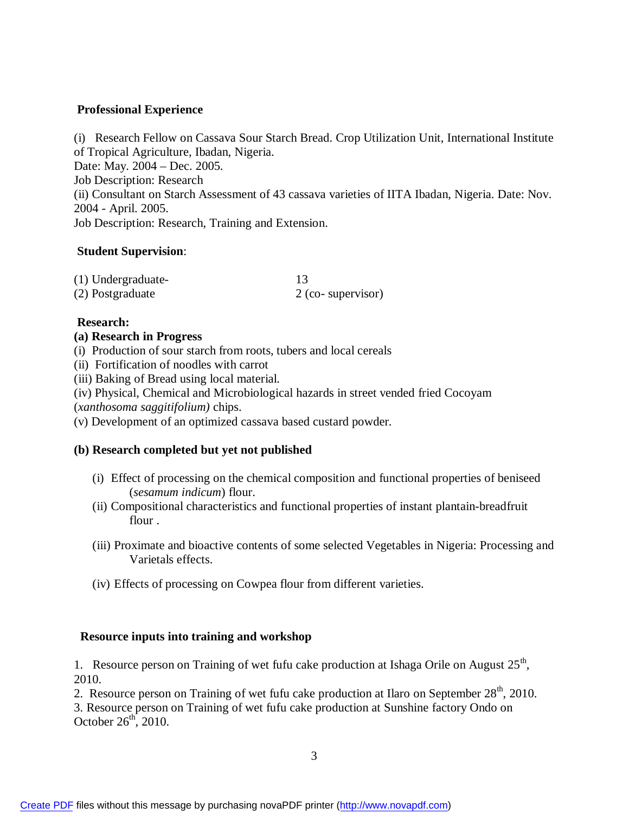#### **Professional Experience**

(i) Research Fellow on Cassava Sour Starch Bread. Crop Utilization Unit, International Institute of Tropical Agriculture, Ibadan, Nigeria. Date: May. 2004 – Dec. 2005. Job Description: Research (ii) Consultant on Starch Assessment of 43 cassava varieties of IITA Ibadan, Nigeria. Date: Nov. 2004 - April. 2005. Job Description: Research, Training and Extension.

#### **Student Supervision**:

| (1) Undergraduate- |                   |
|--------------------|-------------------|
| (2) Postgraduate   | 2 (co-supervisor) |

#### **Research:**

#### **(a) Research in Progress**

- (i) Production of sour starch from roots, tubers and local cereals
- (ii) Fortification of noodles with carrot
- (iii) Baking of Bread using local material.
- (iv) Physical, Chemical and Microbiological hazards in street vended fried Cocoyam
- (*xanthosoma saggitifolium)* chips.
- (v) Development of an optimized cassava based custard powder.

#### **(b) Research completed but yet not published**

- (i) Effect of processing on the chemical composition and functional properties of beniseed (*sesamum indicum*) flour.
- (ii) Compositional characteristics and functional properties of instant plantain-breadfruit flour .
- (iii) Proximate and bioactive contents of some selected Vegetables in Nigeria: Processing and Varietals effects.
- (iv) Effects of processing on Cowpea flour from different varieties.

#### **Resource inputs into training and workshop**

1. Resource person on Training of wet fufu cake production at Ishaga Orile on August  $25<sup>th</sup>$ , 2010.

2. Resource person on Training of wet fufu cake production at Ilaro on September  $28<sup>th</sup>$ , 2010.

3. Resource person on Training of wet fufu cake production at Sunshine factory Ondo on October  $26<sup>th</sup>$ , 2010.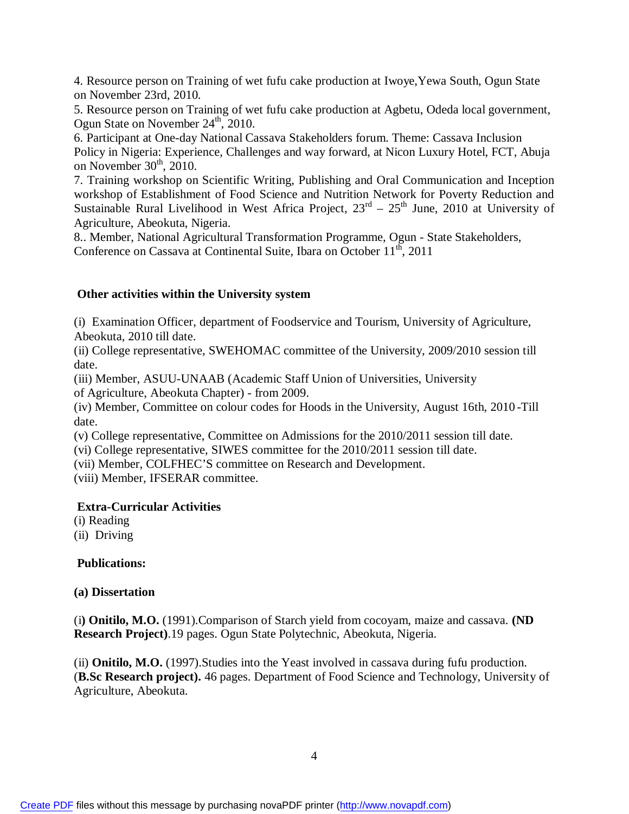4. Resource person on Training of wet fufu cake production at Iwoye,Yewa South, Ogun State on November 23rd, 2010.

5. Resource person on Training of wet fufu cake production at Agbetu, Odeda local government, Ogun State on November  $24^{\text{th}}$ , 2010.

6. Participant at One-day National Cassava Stakeholders forum. Theme: Cassava Inclusion Policy in Nigeria: Experience, Challenges and way forward, at Nicon Luxury Hotel, FCT, Abuja on November  $30<sup>th</sup>$ , 2010.

7. Training workshop on Scientific Writing, Publishing and Oral Communication and Inception workshop of Establishment of Food Science and Nutrition Network for Poverty Reduction and Sustainable Rural Livelihood in West Africa Project,  $23<sup>rd</sup> - 25<sup>th</sup>$  June, 2010 at University of Agriculture, Abeokuta, Nigeria.

8.. Member, National Agricultural Transformation Programme, Ogun - State Stakeholders, Conference on Cassava at Continental Suite, Ibara on October  $11<sup>th</sup>$ , 2011

#### **Other activities within the University system**

(i) Examination Officer, department of Foodservice and Tourism, University of Agriculture, Abeokuta, 2010 till date.

(ii) College representative, SWEHOMAC committee of the University, 2009/2010 session till date.

(iii) Member, ASUU-UNAAB (Academic Staff Union of Universities, University

of Agriculture, Abeokuta Chapter) - from 2009.

(iv) Member, Committee on colour codes for Hoods in the University, August 16th, 2010 -Till date.

(v) College representative, Committee on Admissions for the 2010/2011 session till date.

(vi) College representative, SIWES committee for the 2010/2011 session till date.

(vii) Member, COLFHEC'S committee on Research and Development.

(viii) Member, IFSERAR committee.

#### **Extra-Curricular Activities**

(i) Reading

(ii) Driving

#### **Publications:**

#### **(a) Dissertation**

(i**) Onitilo, M.O.** (1991).Comparison of Starch yield from cocoyam, maize and cassava. **(ND Research Project)**.19 pages. Ogun State Polytechnic, Abeokuta, Nigeria.

(ii) **Onitilo, M.O.** (1997).Studies into the Yeast involved in cassava during fufu production. (**B.Sc Research project).** 46 pages. Department of Food Science and Technology, University of Agriculture, Abeokuta.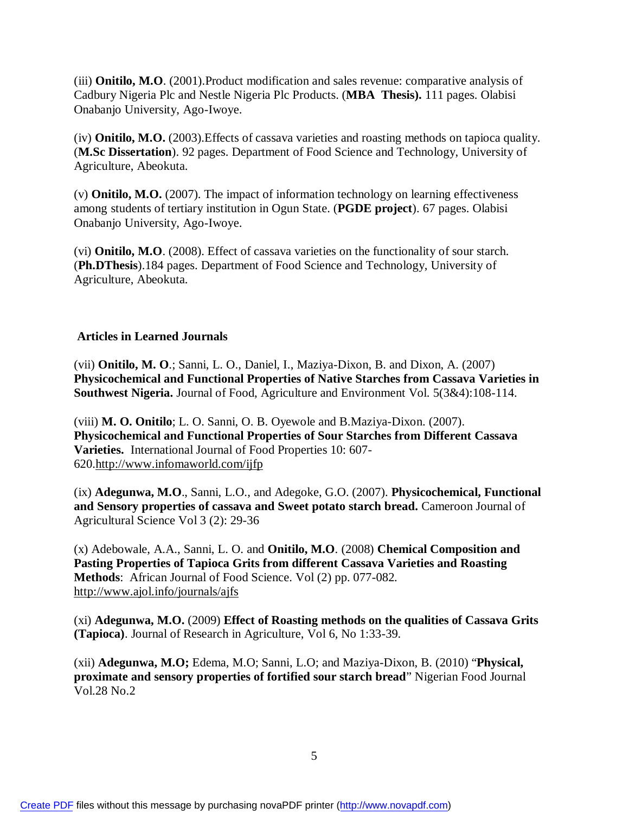(iii) **Onitilo, M.O**. (2001).Product modification and sales revenue: comparative analysis of Cadbury Nigeria Plc and Nestle Nigeria Plc Products. (**MBA Thesis).** 111 pages. Olabisi Onabanjo University, Ago-Iwoye.

(iv) **Onitilo, M.O.** (2003).Effects of cassava varieties and roasting methods on tapioca quality. (**M.Sc Dissertation**). 92 pages. Department of Food Science and Technology, University of Agriculture, Abeokuta.

(v) **Onitilo, M.O.** (2007). The impact of information technology on learning effectiveness among students of tertiary institution in Ogun State. (**PGDE project**). 67 pages. Olabisi Onabanjo University, Ago-Iwoye.

(vi) **Onitilo, M.O**. (2008). Effect of cassava varieties on the functionality of sour starch. (**Ph.DThesis**).184 pages. Department of Food Science and Technology, University of Agriculture, Abeokuta.

#### **Articles in Learned Journals**

(vii) **Onitilo, M. O**.; Sanni, L. O., Daniel, I., Maziya-Dixon, B. and Dixon, A. (2007) **Physicochemical and Functional Properties of Native Starches from Cassava Varieties in Southwest Nigeria.** Journal of Food, Agriculture and Environment Vol. 5(3&4):108-114.

(viii) **M. O. Onitilo**; L. O. Sanni, O. B. Oyewole and B.Maziya-Dixon. (2007). **Physicochemical and Functional Properties of Sour Starches from Different Cassava Varieties.** International Journal of Food Properties 10: 607- 620.<http://www.infomaworld.com/ijfp>

(ix) **Adegunwa, M.O**., Sanni, L.O., and Adegoke, G.O. (2007). **Physicochemical, Functional and Sensory properties of cassava and Sweet potato starch bread.** Cameroon Journal of Agricultural Science Vol 3 (2): 29-36

(x) Adebowale, A.A., Sanni, L. O. and **Onitilo, M.O**. (2008) **Chemical Composition and Pasting Properties of Tapioca Grits from different Cassava Varieties and Roasting Methods**: African Journal of Food Science. Vol (2) pp. 077-082. <http://www.ajol.info/journals/ajfs>

(xi) **Adegunwa, M.O.** (2009) **Effect of Roasting methods on the qualities of Cassava Grits (Tapioca)**. Journal of Research in Agriculture, Vol 6, No 1:33-39.

(xii) **Adegunwa, M.O;** Edema, M.O; Sanni, L.O; and Maziya-Dixon, B. (2010) "**Physical, proximate and sensory properties of fortified sour starch bread**" Nigerian Food Journal Vol.28 No.2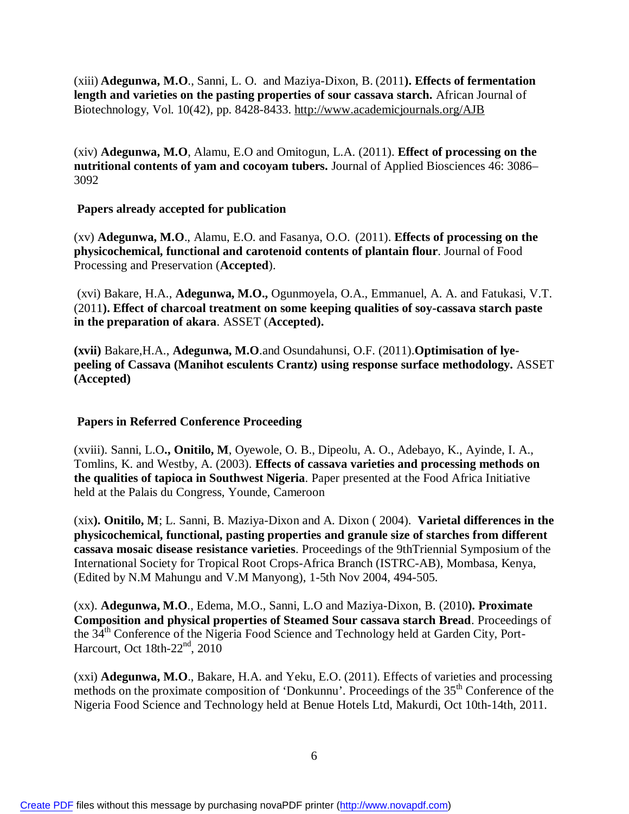(xiii) **Adegunwa, M.O**., Sanni, L. O. and Maziya-Dixon, B. (2011**). Effects of fermentation length and varieties on the pasting properties of sour cassava starch.** African Journal of Biotechnology, Vol. 10(42), pp. 8428-8433. <http://www.academicjournals.org/AJB>

(xiv) **Adegunwa, M.O**, Alamu, E.O and Omitogun, L.A. (2011). **Effect of processing on the nutritional contents of yam and cocoyam tubers.** Journal of Applied Biosciences 46: 3086– 3092

#### **Papers already accepted for publication**

(xv) **Adegunwa, M.O**., Alamu, E.O. and Fasanya, O.O. (2011). **Effects of processing on the physicochemical, functional and carotenoid contents of plantain flour**. Journal of Food Processing and Preservation (**Accepted**).

(xvi) Bakare, H.A., **Adegunwa, M.O.,** Ogunmoyela, O.A., Emmanuel, A. A. and Fatukasi, V.T. (2011**). Effect of charcoal treatment on some keeping qualities of soy-cassava starch paste in the preparation of akara**. ASSET (**Accepted).**

**(xvii)** Bakare,H.A., **Adegunwa, M.O**.and Osundahunsi, O.F. (2011).**Optimisation of lyepeeling of Cassava (Manihot esculents Crantz) using response surface methodology.** ASSET **(Accepted)**

### **Papers in Referred Conference Proceeding**

(xviii). Sanni, L.O**., Onitilo, M**, Oyewole, O. B., Dipeolu, A. O., Adebayo, K., Ayinde, I. A., Tomlins, K. and Westby, A. (2003). **Effects of cassava varieties and processing methods on the qualities of tapioca in Southwest Nigeria**. Paper presented at the Food Africa Initiative held at the Palais du Congress, Younde, Cameroon

(xix**). Onitilo, M**; L. Sanni, B. Maziya-Dixon and A. Dixon ( 2004). **Varietal differences in the physicochemical, functional, pasting properties and granule size of starches from different cassava mosaic disease resistance varieties**. Proceedings of the 9thTriennial Symposium of the International Society for Tropical Root Crops-Africa Branch (ISTRC-AB), Mombasa, Kenya, (Edited by N.M Mahungu and V.M Manyong), 1-5th Nov 2004, 494-505.

(xx). **Adegunwa, M.O**., Edema, M.O., Sanni, L.O and Maziya-Dixon, B. (2010**). Proximate Composition and physical properties of Steamed Sour cassava starch Bread**. Proceedings of the 34<sup>th</sup> Conference of the Nigeria Food Science and Technology held at Garden City, Port-Harcourt, Oct 18th-22nd, 2010

(xxi) **Adegunwa, M.O**., Bakare, H.A. and Yeku, E.O. (2011). Effects of varieties and processing methods on the proximate composition of 'Donkunnu'. Proceedings of the 35<sup>th</sup> Conference of the Nigeria Food Science and Technology held at Benue Hotels Ltd, Makurdi, Oct 10th-14th, 2011.